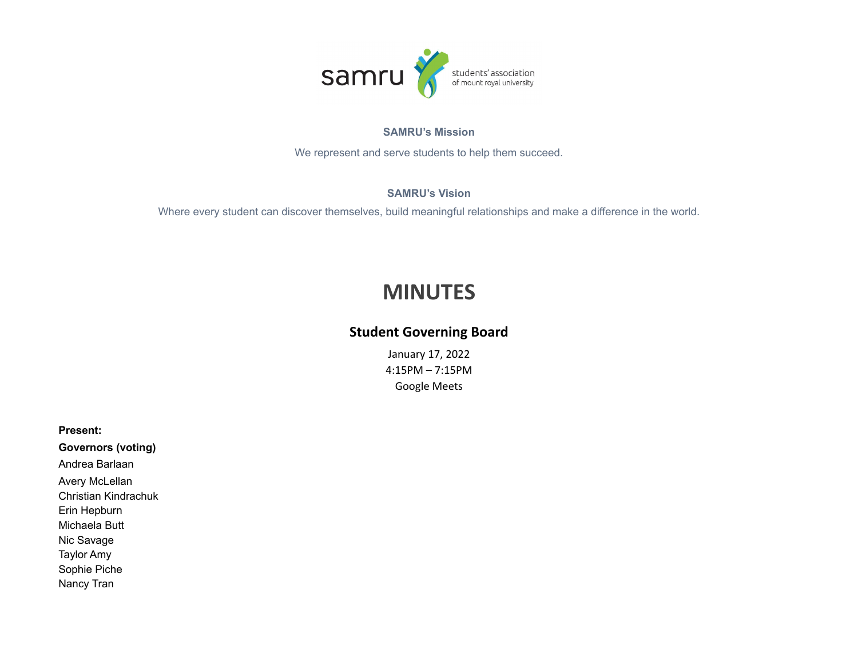

#### **SAMRU's Mission**

We represent and serve students to help them succeed.

### **SAMRU's Vision**

Where every student can discover themselves, build meaningful relationships and make a difference in the world.

# **MINUTES**

## **Student Governing Board**

January 17, 2022 4:15PM – 7:15PM Google Meets

**Present:**

**Governors (voting)** Andrea Barlaan Avery McLellan Christian Kindrachuk Erin Hepburn Michaela Butt Nic Savage Taylor Amy Sophie Piche Nancy Tran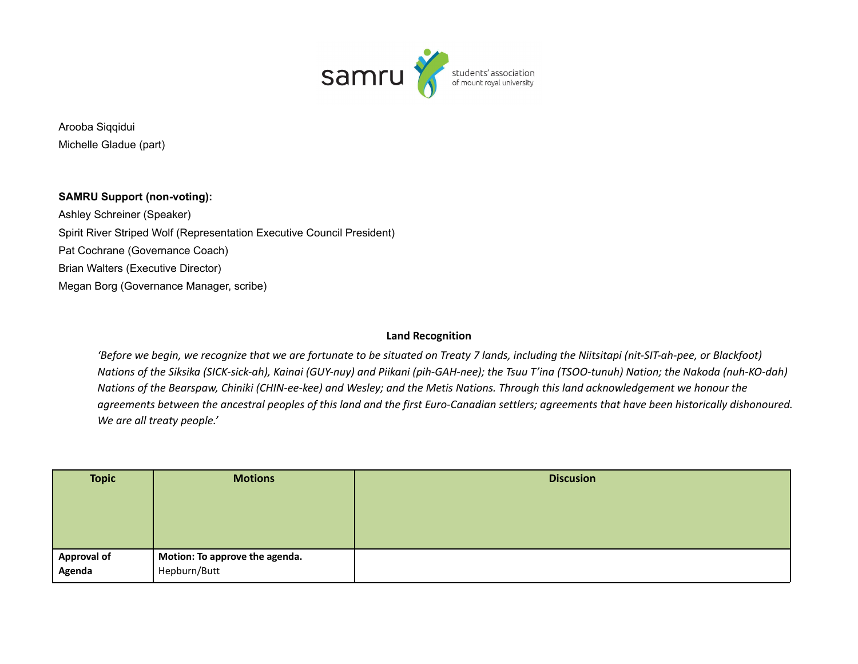

Arooba Siqqidui Michelle Gladue (part)

**SAMRU Support (non-voting):** Ashley Schreiner (Speaker) Spirit River Striped Wolf (Representation Executive Council President) Pat Cochrane (Governance Coach) Brian Walters (Executive Director) Megan Borg (Governance Manager, scribe)

### **Land Recognition**

'Before we begin, we recognize that we are fortunate to be situated on Treaty 7 lands, including the Niitsitapi (nit-SIT-ah-pee, or Blackfoot) Nations of the Siksika (SICK-sick-ah), Kainai (GUY-nuy) and Piikani (pih-GAH-nee); the Tsuu T'ina (TSOO-tunuh) Nation; the Nakoda (nuh-KO-dah) Nations of the Bearspaw, Chiniki (CHIN-ee-kee) and Wesley; and the Metis Nations. Through this land acknowledgement we honour the agreements between the ancestral peoples of this land and the first Euro-Canadian settlers; agreements that have been historically dishonoured. *We are all treaty people.'*

| <b>Topic</b>       | <b>Motions</b>                 | <b>Discusion</b> |
|--------------------|--------------------------------|------------------|
|                    |                                |                  |
|                    |                                |                  |
|                    |                                |                  |
|                    |                                |                  |
| <b>Approval of</b> | Motion: To approve the agenda. |                  |
| Agenda             | Hepburn/Butt                   |                  |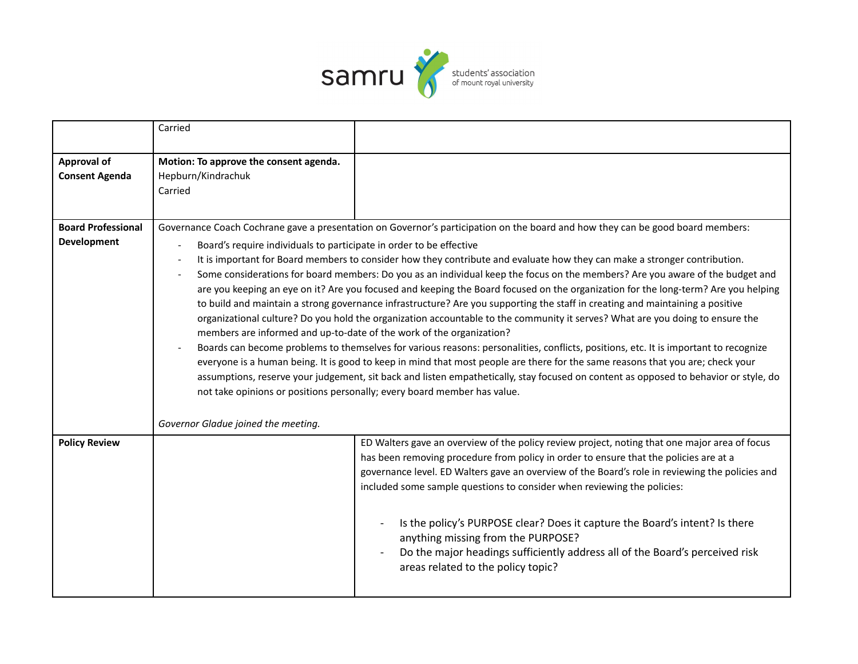

|                                                 | Carried                                                                                                                                                                                                                                                                                                                                                                                                                                                                                                                                                                                                                                                                                                                                                                                                                                                                                                                                                                                                                                                                                                                                                                                                                                                                                                                                                                                                                                           |                                                                                                                                                                                                                                                                                                                                                                                                                                                                                                                                                                                                                 |
|-------------------------------------------------|---------------------------------------------------------------------------------------------------------------------------------------------------------------------------------------------------------------------------------------------------------------------------------------------------------------------------------------------------------------------------------------------------------------------------------------------------------------------------------------------------------------------------------------------------------------------------------------------------------------------------------------------------------------------------------------------------------------------------------------------------------------------------------------------------------------------------------------------------------------------------------------------------------------------------------------------------------------------------------------------------------------------------------------------------------------------------------------------------------------------------------------------------------------------------------------------------------------------------------------------------------------------------------------------------------------------------------------------------------------------------------------------------------------------------------------------------|-----------------------------------------------------------------------------------------------------------------------------------------------------------------------------------------------------------------------------------------------------------------------------------------------------------------------------------------------------------------------------------------------------------------------------------------------------------------------------------------------------------------------------------------------------------------------------------------------------------------|
| <b>Approval of</b><br><b>Consent Agenda</b>     | Motion: To approve the consent agenda.<br>Hepburn/Kindrachuk<br>Carried                                                                                                                                                                                                                                                                                                                                                                                                                                                                                                                                                                                                                                                                                                                                                                                                                                                                                                                                                                                                                                                                                                                                                                                                                                                                                                                                                                           |                                                                                                                                                                                                                                                                                                                                                                                                                                                                                                                                                                                                                 |
| <b>Board Professional</b><br><b>Development</b> | Governance Coach Cochrane gave a presentation on Governor's participation on the board and how they can be good board members:<br>Board's require individuals to participate in order to be effective<br>It is important for Board members to consider how they contribute and evaluate how they can make a stronger contribution.<br>Some considerations for board members: Do you as an individual keep the focus on the members? Are you aware of the budget and<br>are you keeping an eye on it? Are you focused and keeping the Board focused on the organization for the long-term? Are you helping<br>to build and maintain a strong governance infrastructure? Are you supporting the staff in creating and maintaining a positive<br>organizational culture? Do you hold the organization accountable to the community it serves? What are you doing to ensure the<br>members are informed and up-to-date of the work of the organization?<br>Boards can become problems to themselves for various reasons: personalities, conflicts, positions, etc. It is important to recognize<br>everyone is a human being. It is good to keep in mind that most people are there for the same reasons that you are; check your<br>assumptions, reserve your judgement, sit back and listen empathetically, stay focused on content as opposed to behavior or style, do<br>not take opinions or positions personally; every board member has value. |                                                                                                                                                                                                                                                                                                                                                                                                                                                                                                                                                                                                                 |
| <b>Policy Review</b>                            | Governor Gladue joined the meeting.                                                                                                                                                                                                                                                                                                                                                                                                                                                                                                                                                                                                                                                                                                                                                                                                                                                                                                                                                                                                                                                                                                                                                                                                                                                                                                                                                                                                               | ED Walters gave an overview of the policy review project, noting that one major area of focus<br>has been removing procedure from policy in order to ensure that the policies are at a<br>governance level. ED Walters gave an overview of the Board's role in reviewing the policies and<br>included some sample questions to consider when reviewing the policies:<br>Is the policy's PURPOSE clear? Does it capture the Board's intent? Is there<br>anything missing from the PURPOSE?<br>Do the major headings sufficiently address all of the Board's perceived risk<br>areas related to the policy topic? |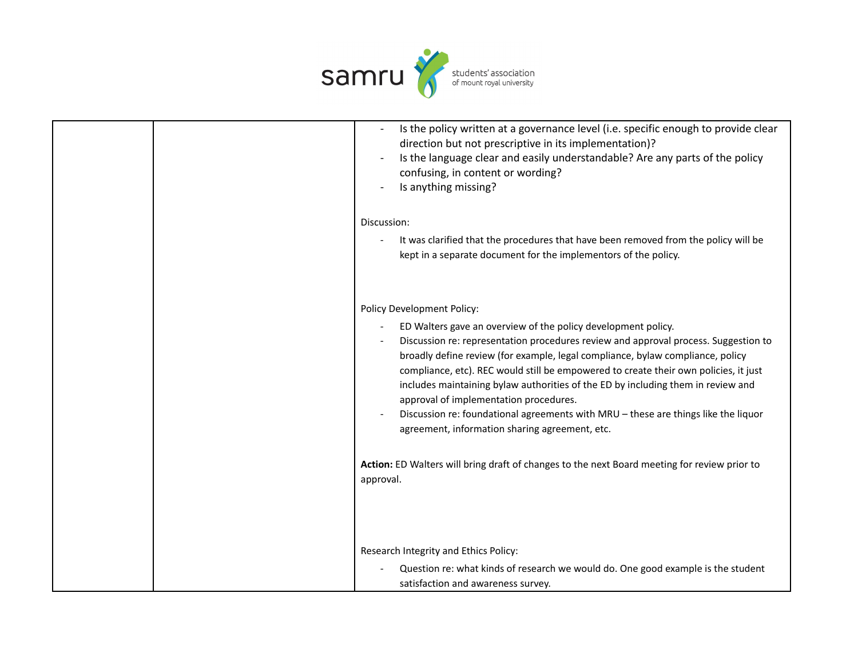

|  | Is the policy written at a governance level (i.e. specific enough to provide clear<br>direction but not prescriptive in its implementation)?<br>Is the language clear and easily understandable? Are any parts of the policy<br>confusing, in content or wording?<br>Is anything missing?                                                                                                                                                                                                                                                                                                            |
|--|------------------------------------------------------------------------------------------------------------------------------------------------------------------------------------------------------------------------------------------------------------------------------------------------------------------------------------------------------------------------------------------------------------------------------------------------------------------------------------------------------------------------------------------------------------------------------------------------------|
|  | Discussion:                                                                                                                                                                                                                                                                                                                                                                                                                                                                                                                                                                                          |
|  | It was clarified that the procedures that have been removed from the policy will be<br>kept in a separate document for the implementors of the policy.                                                                                                                                                                                                                                                                                                                                                                                                                                               |
|  | Policy Development Policy:                                                                                                                                                                                                                                                                                                                                                                                                                                                                                                                                                                           |
|  | ED Walters gave an overview of the policy development policy.<br>Discussion re: representation procedures review and approval process. Suggestion to<br>broadly define review (for example, legal compliance, bylaw compliance, policy<br>compliance, etc). REC would still be empowered to create their own policies, it just<br>includes maintaining bylaw authorities of the ED by including them in review and<br>approval of implementation procedures.<br>Discussion re: foundational agreements with MRU - these are things like the liquor<br>agreement, information sharing agreement, etc. |
|  | Action: ED Walters will bring draft of changes to the next Board meeting for review prior to<br>approval.                                                                                                                                                                                                                                                                                                                                                                                                                                                                                            |
|  | Research Integrity and Ethics Policy:                                                                                                                                                                                                                                                                                                                                                                                                                                                                                                                                                                |
|  | Question re: what kinds of research we would do. One good example is the student                                                                                                                                                                                                                                                                                                                                                                                                                                                                                                                     |
|  | satisfaction and awareness survey.                                                                                                                                                                                                                                                                                                                                                                                                                                                                                                                                                                   |